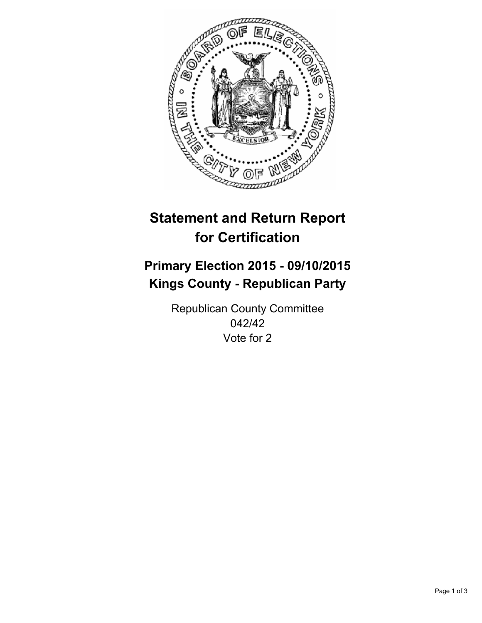

# **Statement and Return Report for Certification**

## **Primary Election 2015 - 09/10/2015 Kings County - Republican Party**

Republican County Committee 042/42 Vote for 2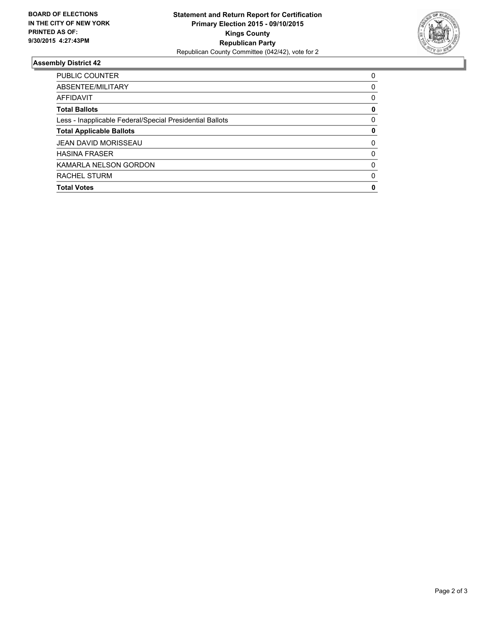

#### **Assembly District 42**

| <b>PUBLIC COUNTER</b>                                    | 0        |
|----------------------------------------------------------|----------|
| ABSENTEE/MILITARY                                        | 0        |
| <b>AFFIDAVIT</b>                                         | 0        |
| <b>Total Ballots</b>                                     | 0        |
| Less - Inapplicable Federal/Special Presidential Ballots | $\Omega$ |
| <b>Total Applicable Ballots</b>                          | 0        |
| <b>JEAN DAVID MORISSEAU</b>                              | 0        |
| <b>HASINA FRASER</b>                                     | $\Omega$ |
| KAMARLA NELSON GORDON                                    | 0        |
| RACHEL STURM                                             | $\Omega$ |
| <b>Total Votes</b>                                       | 0        |